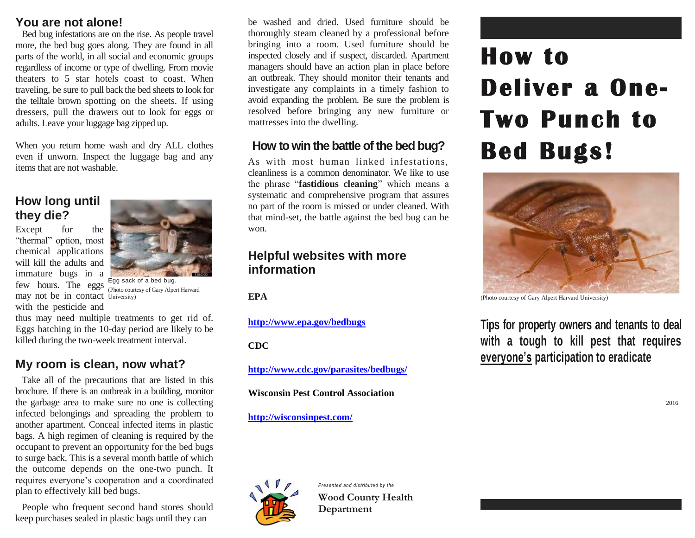#### **You are not alone!**

Bed bug infestations are on the rise. As people travel more, the bed bug goes along. They are found in all parts of the world, in all social and economic groups regardless of income or type of dwelling. From movie theaters to 5 star hotels coast to coast. When traveling, be sure to pull back the bed sheets to look for the telltale brown spotting on the sheets. If using dressers, pull the drawers out to look for eggs or adults. Leave your luggage bag zipped up.

When you return home wash and dry ALL clothes even if unworn. Inspect the luggage bag and any items that are not washable.

#### **How long until they die?**

may not be in contact University) Except for the "thermal" option, most chemical applications will kill the adults and immature bugs in a few hours. The eggs with the pesticide and



Egg sack of a bed bug. (Photo courtesy of Gary Alpert Harvard

thus may need multiple treatments to get rid of. Eggs hatching in the 10-day period are likely to be killed during the two-week treatment interval.

# **My room is clean, now what?**

Take all of the precautions that are listed in this brochure. If there is an outbreak in a building, monitor the garbage area to make sure no one is collecting infected belongings and spreading the problem to another apartment. Conceal infected items in plastic bags. A high regimen of cleaning is required by the occupant to prevent an opportunity for the bed bugs to surge back. This is a several month battle of which the outcome depends on the one-two punch. It requires everyone's cooperation and a coordinated plan to effectively kill bed bugs.

People who frequent second hand stores should keep purchases sealed in plastic bags until they can

be washed and dried. Used furniture should be thoroughly steam cleaned by a professional before bringing into a room. Used furniture should be inspected closely and if suspect, discarded. Apartment managers should have an action plan in place before an outbreak. They should monitor their tenants and investigate any complaints in a timely fashion to avoid expanding the problem. Be sure the problem is resolved before bringing any new furniture or mattresses into the dwelling.

### **How to win the battle of the bed bug?**

As with most human linked infestations, cleanliness is a common denominator. We like to use the phrase "**fastidious cleaning**" which means a systematic and comprehensive program that assures no part of the room is missed or under cleaned. With that mind-set, the battle against the bed bug can be won.

#### **Helpful websites with more information**

**EPA** 

**<http://www.epa.gov/bedbugs>**

**CDC**

**<http://www.cdc.gov/parasites/bedbugs/>**

**Wisconsin Pest Control Association** 

#### **http://wisconsinpest.com/**



*Presented and distributed by the* **Wood County Health Department** 

# **How to Deliver a One-Two Punch to Bed Bugs!**



(Photo courtesy of Gary Alpert Harvard University)

**Tips for property owners and tenants to deal with a tough to kill pest that requires everyone's participation to eradicate**

2016